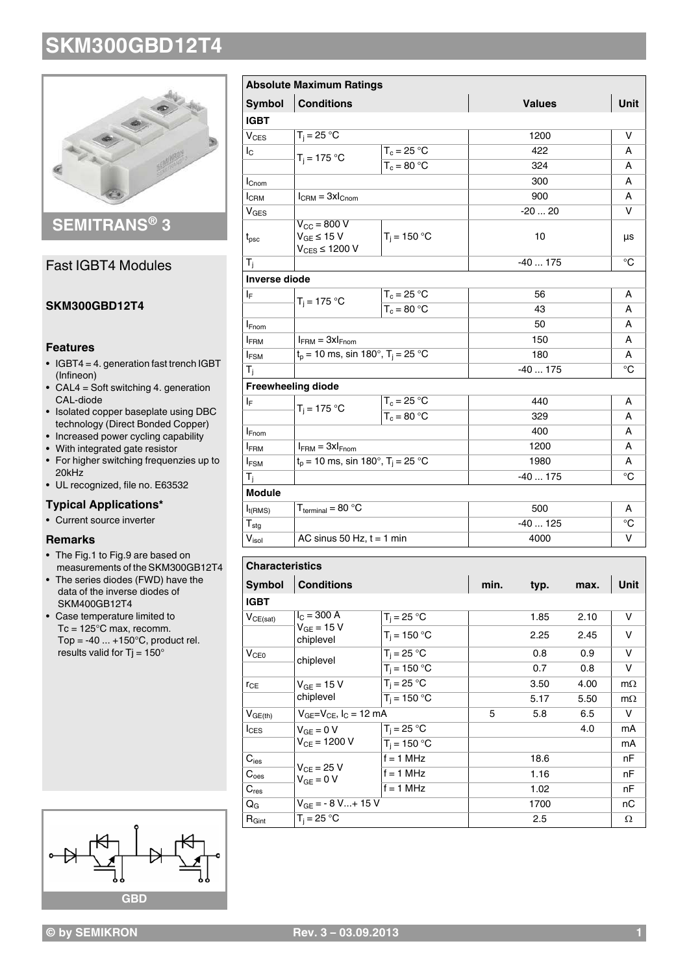

## **SEMITRANS® 3**

## Fast IGBT4 Modules

### **SKM300GBD12T4**

#### **Features**

- $\bullet$  IGBT4 = 4. generation fast trench IGBT (Infineon)
- $\bullet$  CAL4 = Soft switching 4. generation CAL-diode
- Isolated copper baseplate using DBC technology (Direct Bonded Copper)
- Increased power cycling capability
- With integrated gate resistor
- For higher switching frequenzies up to 20kHz
- UL recognized, file no. E63532

### **Typical Applications\***

• Current source inverter

### **Remarks**

- The Fig.1 to Fig.9 are based on measurements of the SKM300GB12T4
- The series diodes (FWD) have the data of the inverse diodes of SKM400GB12T4
- Case temperature limited to Tc = 125°C max, recomm. Top =  $-40$  ...  $+150^{\circ}$ C, product rel. results valid for Tj =  $150^\circ$



| <b>Symbol</b>          | <b>Conditions</b>                           |                | <b>Values</b> | Unit        |
|------------------------|---------------------------------------------|----------------|---------------|-------------|
| <b>IGBT</b>            |                                             |                |               |             |
| <b>V<sub>CES</sub></b> | $T_i = 25 °C$                               |                | 1200          | v           |
| $I_{\rm C}$            |                                             | $T_c = 25 °C$  | 422           | A           |
|                        | $T_i = 175 °C$                              | $T_c = 80 °C$  | 324           | А           |
| $I_{\text{Cnom}}$      |                                             |                | 300           | А           |
| I <sub>CRM</sub>       | $I_{\text{CRM}} = 3xI_{\text{Chom}}$        |                | 900           | А           |
| V <sub>GES</sub>       |                                             |                | $-2020$       | $\vee$      |
|                        | $V_{\text{CC}}$ = 800 V                     |                |               |             |
| $t_{\rm psc}$          | $V_{GE} \leq 15 V$<br>$V_{CES} \leq 1200 V$ | $T_i = 150 °C$ | 10            | μs          |
| $T_i$                  |                                             |                | $-40175$      | $^{\circ}C$ |
| <b>Inverse diode</b>   |                                             |                |               |             |
| ΙF                     | $T_i = 175 °C$                              | $T_c = 25 °C$  | 56            | A           |
|                        |                                             | $T_c = 80 °C$  | 43            | А           |
| <b>I</b> Fnom          |                                             |                | 50            | А           |
| <b>IFRM</b>            | $I_{FRM} = 3xI_{Fnom}$                      |                | 150           | А           |
| $I_{FSM}$              | $t_p = 10$ ms, sin 180°, $T_i = 25$ °C      |                | 180           |             |
| $T_i$                  |                                             |                | $-40175$      | $^{\circ}C$ |
|                        | <b>Freewheeling diode</b>                   |                |               |             |
| ΙF                     |                                             | $T_c = 25 °C$  | 440           | A           |
|                        | $T_i = 175 °C$                              | $T_c = 80 °C$  | 329           | A           |
| <b>I</b> Fnom          |                                             |                | 400           | А           |
| <b>IFRM</b>            | $I_{FRM} = 3xI_{Fnom}$                      |                | 1200          | А           |
| <b>IFSM</b>            | $t_p = 10$ ms, sin 180°, $T_i = 25$ °C      |                | 1980          | А           |
| $T_i$                  |                                             |                | $-40175$      |             |
| <b>Module</b>          |                                             |                |               |             |
| $I_{t(RMS)}$           | $T_{\text{terminal}} = 80 \text{ °C}$       |                | 500           | A           |
| ${\sf T}_{\sf stg}$    |                                             |                | $-40125$      | $^{\circ}C$ |
| $V_{\text{isol}}$      | AC sinus 50 Hz, $t = 1$ min                 |                | 4000          | V           |
|                        |                                             |                |               |             |
| <b>Characteristics</b> |                                             |                |               |             |
| $\sim$ $\sim$ $\sim$   |                                             |                |               | .           |

| <b>Characteristics</b> |                                               |                |      |      |      |           |  |
|------------------------|-----------------------------------------------|----------------|------|------|------|-----------|--|
| Symbol                 | <b>Conditions</b>                             |                | min. | typ. | max. | Unit      |  |
| <b>IGBT</b>            |                                               |                |      |      |      |           |  |
| $V_{CE(sat)}$          | $I_C = 300 A$<br>$V_{GE}$ = 15 V<br>chiplevel | $T_i = 25 °C$  |      | 1.85 | 2.10 | v         |  |
|                        |                                               | $T_i = 150 °C$ |      | 2.25 | 2.45 | v         |  |
| V <sub>CE0</sub>       | chiplevel                                     | $T_i = 25 °C$  |      | 0.8  | 0.9  | v         |  |
|                        |                                               | $T_i = 150 °C$ |      | 0.7  | 0.8  | V         |  |
| $r_{CE}$               | $V_{GF} = 15 V$                               | $T_i = 25 °C$  |      | 3.50 | 4.00 | $m\Omega$ |  |
|                        | chiplevel                                     | $T_i = 150 °C$ |      | 5.17 | 5.50 | $m\Omega$ |  |
| $V_{GE(th)}$           | $V_{GE}=V_{CE}$ , $I_C = 12$ mA               |                | 5    | 5.8  | 6.5  | v         |  |
| $I_{CES}$              | $V_{GF} = 0 V$<br>$V_{CF} = 1200 V$           | $T_i = 25 °C$  |      |      | 4.0  | mA        |  |
|                        |                                               | $T_i = 150 °C$ |      |      |      | mA        |  |
| $C_{\text{ies}}$       | $V_{CF}$ = 25 V<br>$V_{GF} = 0 V$             | $f = 1$ MHz    |      | 18.6 |      | nF        |  |
| $\mathtt{C_{oes}}$     |                                               | $f = 1$ MHz    |      | 1.16 |      | nF        |  |
| $C_{res}$              |                                               | $f = 1$ MHz    |      | 1.02 |      | nF        |  |
| $Q_{\rm G}$            | $V_{GF} = -8 V+ 15 V$                         |                |      | 1700 |      | nС        |  |
| $R_{Gint}$             | $T_i = 25 °C$                                 |                |      | 2.5  |      | Ω         |  |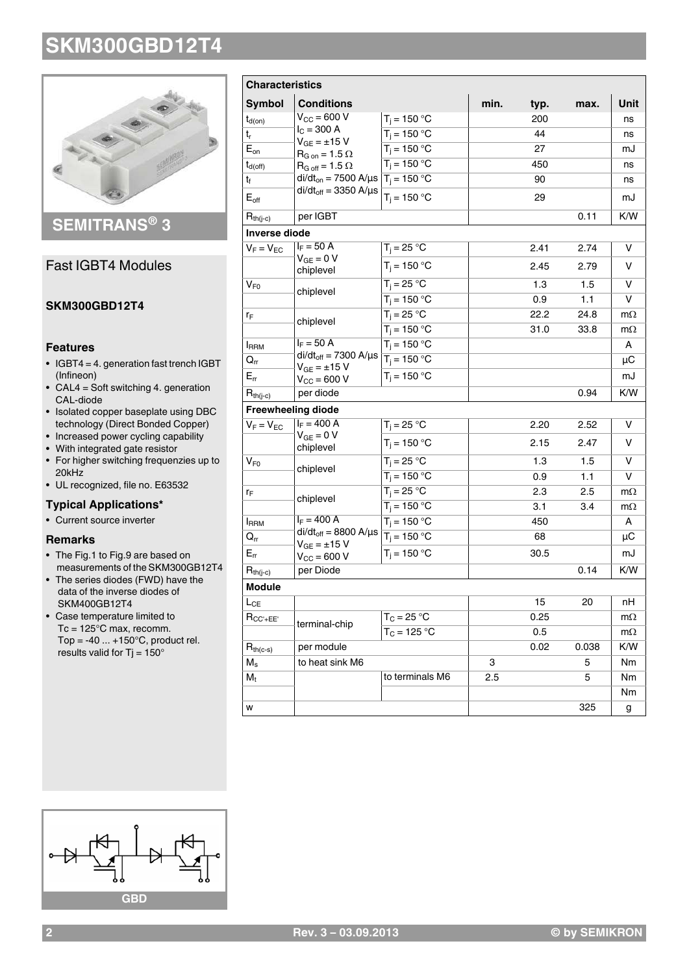

## **SEMITRANS® 3**

## Fast IGBT4 Modules

## **SKM300GBD12T4**

### **Features**

- $\bullet$  IGBT4 = 4. generation fast trench IGBT (Infineon)
- $\bullet$  CAL4 = Soft switching 4. generation CAL-diode
- Isolated copper baseplate using DBC technology (Direct Bonded Copper)
- Increased power cycling capability
- With integrated gate resistor
- For higher switching frequenzies up to 20kHz
- UL recognized, file no. E63532

## **Typical Applications\***

• Current source inverter

### **Remarks**

- The Fig.1 to Fig.9 are based on measurements of the SKM300GB12T4
- The series diodes (FWD) have the data of the inverse diodes of SKM400GB12T4
- Case temperature limited to Tc = 125°C max, recomm. Top =  $-40$  ...  $+150^{\circ}$ C, product rel. results valid for Tj =  $150^\circ$

| <b>Characteristics</b>     |                                                                                   |                 |      |      |       |           |
|----------------------------|-----------------------------------------------------------------------------------|-----------------|------|------|-------|-----------|
| <b>Symbol</b>              | <b>Conditions</b>                                                                 |                 | min. | typ. | max.  | Unit      |
| $t_{d(on)}$                | $V_{CC}$ = 600 V                                                                  | $T_i = 150 °C$  |      | 200  |       | ns        |
| $t_{r}$                    | $I_C = 300 A$                                                                     | $T_i = 150 °C$  |      | 44   |       | ns        |
| $E_{on}$                   | $V_{GE} = \pm 15 V$<br>$\mathsf{R}_{\mathsf{G} \text{ on}}$ = 1.5 $\Omega$        | $T_i = 150 °C$  |      | 27   |       | mJ        |
| $t_{d(off)}$               | $R_{G \text{ off}} = 1.5 \Omega$                                                  | $T_i = 150 °C$  |      | 450  |       | ns        |
| $t_f$                      | di/dt <sub>on</sub> = 7500 A/µs $T_i$ = 150 °C<br>$di/dt_{off} = 3350$ A/ $\mu$ s |                 |      | 90   |       | ns        |
| $E_{\text{off}}$           |                                                                                   | $T_i = 150 °C$  |      | 29   |       | mJ        |
| $R_{th(j-c)}$              | per IGBT                                                                          |                 |      |      | 0.11  | K/W       |
| <b>Inverse diode</b>       |                                                                                   |                 |      |      |       |           |
| $V_F = V_{EC}$             | $I_F = 50 A$                                                                      | $T_j = 25 °C$   |      | 2.41 | 2.74  | v         |
|                            | $V_{GE} = 0 V$<br>chiplevel                                                       | $T_i = 150 °C$  |      | 2.45 | 2.79  | v         |
| $V_{\mathsf{F0}}$          |                                                                                   | $T_i = 25 °C$   |      | 1.3  | 1.5   | v         |
|                            | chiplevel                                                                         | $T_i = 150 °C$  |      | 0.9  | 1.1   | v         |
| $r_F$                      |                                                                                   | $T_j = 25 °C$   |      | 22.2 | 24.8  | $m\Omega$ |
|                            | chiplevel                                                                         | $T_i = 150 °C$  |      | 31.0 | 33.8  | $m\Omega$ |
| <b>I</b> RRM               | $I_F = 50 A$                                                                      | $T_i = 150 °C$  |      |      |       | A         |
| $\mathsf{Q}_{\mathsf{rr}}$ | $di/dt_{off} = 7300$ A/ $\mu$ s                                                   | $T_i = 150 °C$  |      |      |       | μC        |
| $E_{rr}$                   | $V_{GE} = \pm 15 V$<br>$V_{CC} = 600 V$                                           | $T_i = 150 °C$  |      |      |       | mJ        |
| $R_{th(j-c)}$              | per diode                                                                         |                 |      |      | 0.94  | K/W       |
|                            | <b>Freewheeling diode</b>                                                         |                 |      |      |       |           |
| $V_F = V_{EC}$             | $I_F = 400 A$                                                                     | $T_i = 25 °C$   |      | 2.20 | 2.52  | v         |
|                            | $V_{GE} = 0 V$<br>chiplevel                                                       | $T_i = 150 °C$  |      | 2.15 | 2.47  | v         |
| $V_{F0}$                   | chiplevel                                                                         | $T_i = 25 °C$   |      | 1.3  | 1.5   | V         |
|                            |                                                                                   | $T_i = 150 °C$  |      | 0.9  | 1.1   | v         |
| ľF                         |                                                                                   | $T_i = 25 °C$   |      | 2.3  | 2.5   | $m\Omega$ |
|                            | chiplevel                                                                         | $T_i = 150 °C$  |      | 3.1  | 3.4   | $m\Omega$ |
| <b>IRRM</b>                | $I_F = 400 A$                                                                     | $T_i = 150 °C$  |      | 450  |       | A         |
| $Q_{rr}$                   | $di/dt_{off} = 8800$ A/ $\mu$ s                                                   | $T_i = 150 °C$  |      | 68   |       | μC        |
| $E_{rr}$                   | $\rm V_{GE}$ = $\pm 15~\rm V$<br>$V_{\text{CC}} = 600 V$                          | $T_i = 150 °C$  |      | 30.5 |       | mJ        |
| $R_{th(i-c)}$              | per Diode                                                                         |                 |      |      | 0.14  | K/W       |
| Module                     |                                                                                   |                 |      |      |       |           |
| $L_{\text{CE}}$            |                                                                                   |                 |      | 15   | 20    | nН        |
| $R_{CC'+EE'}$              | terminal-chip                                                                     | $T_C = 25 °C$   |      | 0.25 |       | $m\Omega$ |
|                            |                                                                                   | $T_C = 125 °C$  |      | 0.5  |       | $m\Omega$ |
| $R_{th(c-s)}$              | per module                                                                        |                 |      | 0.02 | 0.038 | K/W       |
| $\mathsf{M}_{\mathsf{s}}$  | to heat sink M6                                                                   |                 | 3    |      | 5     | Nm        |
| $M_{\rm t}$                |                                                                                   | to terminals M6 | 2.5  |      | 5     | Nm        |
|                            |                                                                                   |                 |      |      |       | Nm        |
| W                          |                                                                                   |                 |      |      | 325   | g         |

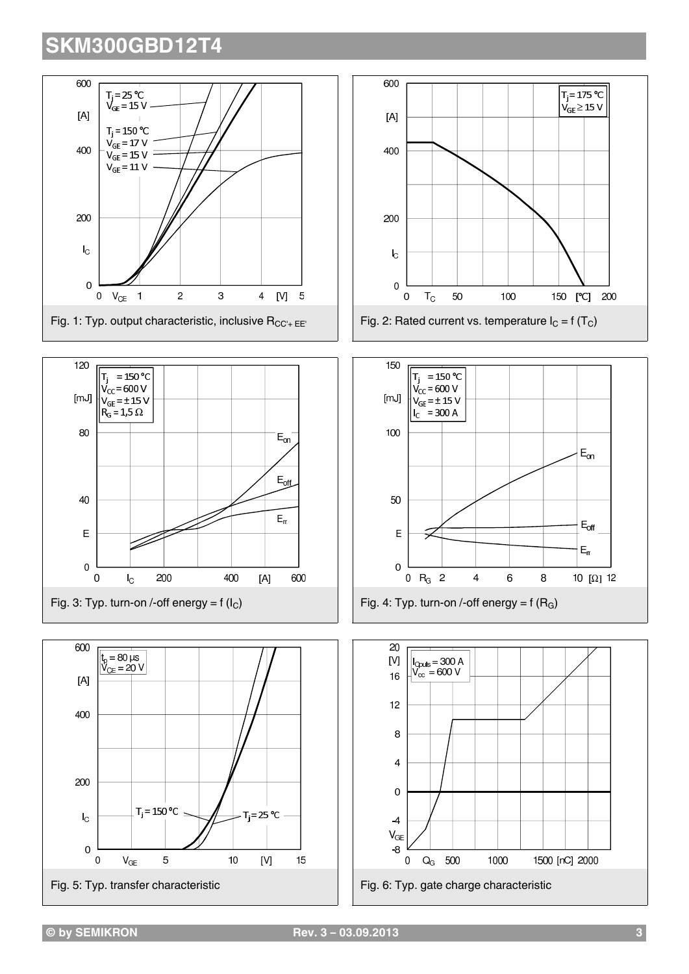









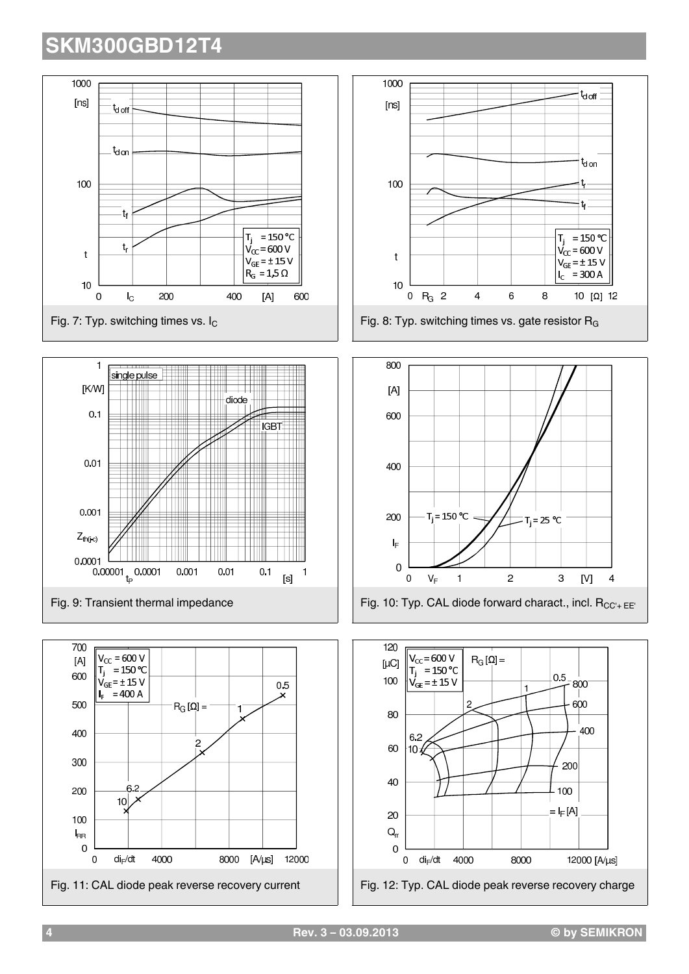